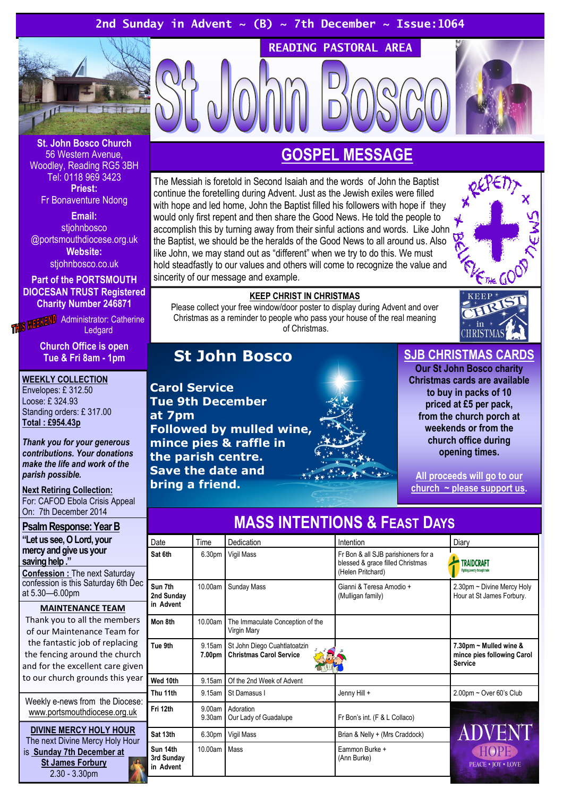## 2nd Sunday in Advent  $\sim$  (B)  $\sim$  7th December  $\sim$  Issue:1064



St. John Bosco Church 56 Western Avenue, Woodley, Reading RG5 3BH Tel: 0118 969 3423 Priest: Fr Bonaventure Ndong

Email: stjohnbosco @portsmouthdiocese.org.uk

Website: stjohnbosco.co.uk

Part of the PORTSMOUTH

DIOCESAN TRUST Registered Charity Number 246871

**THIS WEEKEND** Administrator: Catherine **Ledgard** 

> Church Office is open Tue & Fri 8am - 1pm

WEEKLY COLLECTION Envelopes: £ 312.50 Loose: £ 324.93 Standing orders: £ 317.00 Total : £954.43p

Thank you for your generous contributions. Your donations make the life and work of the parish possible.

#### **Next Retiring Collection:** For: CAFOD Ebola Crisis Appeal On: 7th December 2014

Psalm Response: Year B "Let us see, O Lord, your mercy and give us your saving help ." Confession : The next Saturday confession is this Saturday 6th Dec at 5.30—6.00pm MAINTENANCE TEAM Thank you to all the members of our Maintenance Team for the fantastic job of replacing the fencing around the church and for the excellent care given to our church grounds this year Weekly e-news from the Diocese: www.portsmouthdiocese.org.uk

DIVINE MERCY HOLY HOUR The next Divine Mercy Holy Hour is Sunday 7th December at St James Forbury 2.30 - 3.30pm

# GOSPEL MESSAGE

READING PASTORAL AREA

The Messiah is foretold in Second Isaiah and the words of John the Baptist continue the foretelling during Advent. Just as the Jewish exiles were filled with hope and led home, John the Baptist filled his followers with hope if they would only first repent and then share the Good News. He told the people to accomplish this by turning away from their sinful actions and words. Like John the Baptist, we should be the heralds of the Good News to all around us. Also like John, we may stand out as "different" when we try to do this. We must hold steadfastly to our values and others will come to recognize the value and sincerity of our message and example.



#### KEEP CHRIST IN CHRISTMAS

Please collect your free window/door poster to display during Advent and over Christmas as a reminder to people who pass your house of the real meaning of Christmas.

# St John Bosco

Carol Service Tue 9th December at 7pm Followed by mulled wine, mince pies & raffle in the parish centre. Save the date and bring a friend.

## SJB CHRISTMAS CARDS

Our St John Bosco charity Christmas cards are available to buy in packs of 10 priced at £5 per pack, from the church porch at weekends or from the church office during opening times.

All proceeds will go to our  $church \sim please support us.$ 

| Date                                | Time               | Dedication                                                     | Intention                                                                                    | Diary                                                                  |
|-------------------------------------|--------------------|----------------------------------------------------------------|----------------------------------------------------------------------------------------------|------------------------------------------------------------------------|
| Sat 6th                             | 6.30pm             | Vigil Mass                                                     | Fr Bon & all SJB parishioners for a<br>blessed & grace filled Christmas<br>(Helen Pritchard) | <b>TRAIDCRAFT</b><br>Fighting poverty through trade                    |
| Sun 7th<br>2nd Sunday<br>in Advent  | 10.00am            | Sunday Mass                                                    | Gianni & Teresa Amodio +<br>(Mulligan family)                                                | 2.30pm ~ Divine Mercy Holy<br>Hour at St James Forbury.                |
| Mon 8th                             | 10.00am            | The Immaculate Conception of the<br>Virgin Mary                |                                                                                              |                                                                        |
| Tue 9th                             | 9.15am<br>7.00pm   | St John Diego Cuahtlatoatzin<br><b>Christmas Carol Service</b> |                                                                                              | 7.30pm ~ Mulled wine &<br>mince pies following Carol<br><b>Service</b> |
| Wed 10th                            | 9.15am             | Of the 2nd Week of Advent                                      |                                                                                              |                                                                        |
| Thu 11th                            | 9.15am             | St Damasus I                                                   | Jenny Hill +                                                                                 | $2.00$ pm ~ Over 60's Club                                             |
| Fri 12th                            | 9.00am<br>9.30am   | Adoration<br>Our Lady of Guadalupe                             | Fr Bon's int. (F & L Collaco)                                                                |                                                                        |
| Sat 13th                            | 6.30 <sub>pm</sub> | Vigil Mass                                                     | Brian & Nelly + (Mrs Craddock)                                                               | ADVENT                                                                 |
| Sun 14th<br>3rd Sunday<br>in Advent | 10.00am            | Mass                                                           | Eammon Burke +<br>(Ann Burke)                                                                | <b>PEACE • JOY • LOVE</b>                                              |

# MASS INTENTIONS & FEAST DAYS